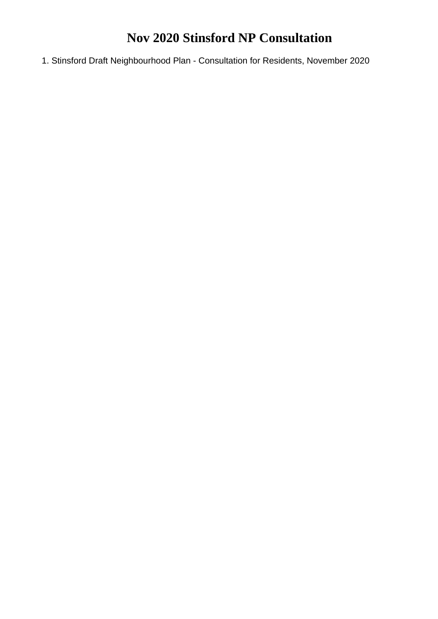## **Nov 2020 Stinsford NP Consultation**

1. Stinsford Draft Neighbourhood Plan - Consultation for Residents, November 2020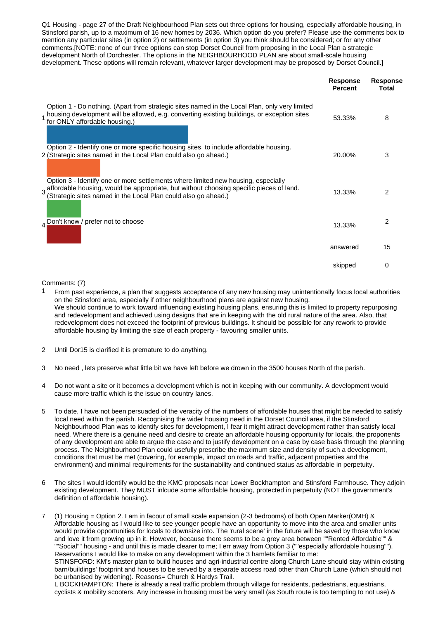Q1 Housing - page 27 of the Draft Neighbourhood Plan sets out three options for housing, especially affordable housing, in Stinsford parish, up to a maximum of 16 new homes by 2036. Which option do you prefer? Please use the comments box to mention any particular sites (in option 2) or settlements (in option 3) you think should be considered; or for any other comments.[NOTE: none of our three options can stop Dorset Council from proposing in the Local Plan a strategic development North of Dorchester. The options in the NEIGHBOURHOOD PLAN are about small-scale housing development. These options will remain relevant, whatever larger development may be proposed by Dorset Council.]

|                                                                                                                                                                                                                                                  | <b>Response</b><br><b>Percent</b> | <b>Response</b><br><b>Total</b> |
|--------------------------------------------------------------------------------------------------------------------------------------------------------------------------------------------------------------------------------------------------|-----------------------------------|---------------------------------|
| Option 1 - Do nothing. (Apart from strategic sites named in the Local Plan, only very limited<br>1 housing development will be allowed, e.g. converting existing buildings, or exception sites<br>for ONLY affordable housing.)                  | 53.33%                            | 8                               |
| Option 2 - Identify one or more specific housing sites, to include affordable housing.<br>2 (Strategic sites named in the Local Plan could also go ahead.)                                                                                       | 20.00%                            | 3                               |
| Option 3 - Identify one or more settlements where limited new housing, especially<br>3 affordable housing, would be appropriate, but without choosing specific pieces of land.<br>(Strategic sites named in the Local Plan could also go ahead.) | 13.33%                            | 2                               |
| Don't know / prefer not to choose                                                                                                                                                                                                                | 13.33%                            | 2                               |
|                                                                                                                                                                                                                                                  | answered                          | 15                              |
|                                                                                                                                                                                                                                                  | skipped                           | 0                               |

Comments: (7)

- $1$  From past experience, a plan that suggests acceptance of any new housing may unintentionally focus local authorities on the Stinsford area, especially if other neighbourhood plans are against new housing. We should continue to work toward influencing existing housing plans, ensuring this is limited to property repurposing and redevelopment and achieved using designs that are in keeping with the old rural nature of the area. Also, that redevelopment does not exceed the footprint of previous buildings. It should be possible for any rework to provide affordable housing by limiting the size of each property - favouring smaller units.
- 2 Until Dor15 is clarified it is premature to do anything.
- 3 No need , lets preserve what little bit we have left before we drown in the 3500 houses North of the parish.
- 4 Do not want a site or it becomes a development which is not in keeping with our community. A development would cause more traffic which is the issue on country lanes.
- 5 To date, I have not been persuaded of the veracity of the numbers of affordable houses that might be needed to satisfy local need within the parish. Recognising the wider housing need in the Dorset Council area, if the Stinsford Neighbourhood Plan was to identify sites for development, I fear it might attract development rather than satisfy local need. Where there is a genuine need and desire to create an affordable housing opportunity for locals, the proponents of any development are able to argue the case and to justify development on a case by case basis through the planning process. The Neighbourhood Plan could usefully prescribe the maximum size and density of such a development, conditions that must be met (covering, for example, impact on roads and traffic, adjacent properties and the environment) and minimal requirements for the sustainability and continued status as affordable in perpetuity.
- 6 The sites I would identify would be the KMC proposals near Lower Bockhampton and Stinsford Farmhouse. They adjoin existing development. They MUST inlcude some affordable housing, protected in perpetuity (NOT the government's definition of affordable housing).

7 (1) Housing = Option 2. I am in facour of small scale expansion (2-3 bedrooms) of both Open Marker(OMH) & Affordable housing as I would like to see younger people have an opportunity to move into the area and smaller units would provide opportunities for locals to downsize into. The 'rural scene' in the future will be saved by those who know and love it from growing up in it. However, because there seems to be a grey area between ""Rented Affordable"" & ""Social"" housing - and until this is made clearer to me; I err away from Option 3 (""especially affordable housing""). Reservations I would like to make on any development within the 3 hamlets familiar to me: STINSFORD: KM's master plan to build houses and agri-industrial centre along Church Lane should stay within existing

barn/buildings' footprint and houses to be served by a separate access road other than Church Lane (which should not be urbanised by widening). Reasons= Church & Hardys Trail.

L BOCKHAMPTON: There is already a real traffic problem through village for residents, pedestrians, equestrians, cyclists & mobility scooters. Any increase in housing must be very small (as South route is too tempting to not use) &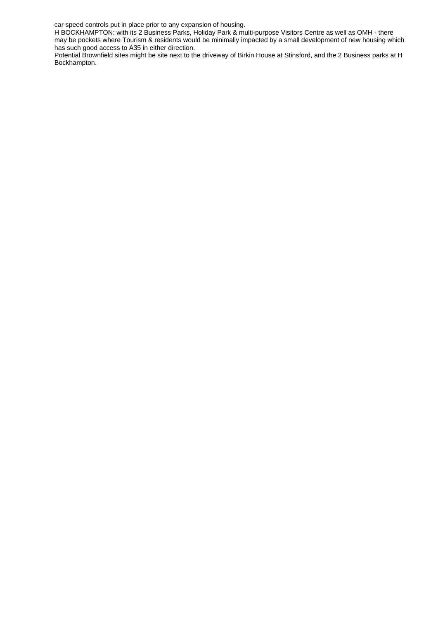car speed controls put in place prior to any expansion of housing.

H BOCKHAMPTON: with its 2 Business Parks, Holiday Park & multi-purpose Visitors Centre as well as OMH - there may be pockets where Tourism & residents would be minimally impacted by a small development of new housing which has such good access to A35 in either direction.

Potential Brownfield sites might be site next to the driveway of Birkin House at Stinsford, and the 2 Business parks at H Bockhampton.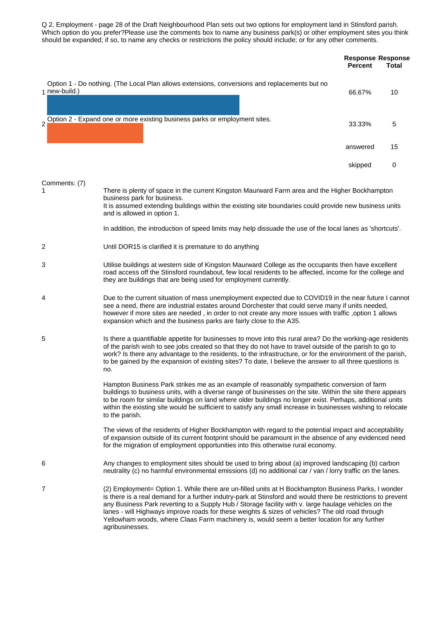Q 2. Employment - page 28 of the Draft Neighbourhood Plan sets out two options for employment land in Stinsford parish. Which option do you prefer?Please use the comments box to name any business park(s) or other employment sites you think should be expanded; if so, to name any checks or restrictions the policy should include; or for any other comments.

|                    |                                                                                                                                                                                                                                                                                                                                                                                                                                                   | <b>Response Response</b><br><b>Percent</b> | <b>Total</b> |
|--------------------|---------------------------------------------------------------------------------------------------------------------------------------------------------------------------------------------------------------------------------------------------------------------------------------------------------------------------------------------------------------------------------------------------------------------------------------------------|--------------------------------------------|--------------|
| 1 new-build.)      | Option 1 - Do nothing. (The Local Plan allows extensions, conversions and replacements but no                                                                                                                                                                                                                                                                                                                                                     | 66.67%                                     | 10           |
|                    | 2 Option 2 - Expand one or more existing business parks or employment sites.                                                                                                                                                                                                                                                                                                                                                                      | 33.33%                                     | 5            |
|                    |                                                                                                                                                                                                                                                                                                                                                                                                                                                   | answered                                   | 15           |
|                    |                                                                                                                                                                                                                                                                                                                                                                                                                                                   | skipped                                    | 0            |
| Comments: (7)<br>1 | There is plenty of space in the current Kingston Maurward Farm area and the Higher Bockhampton<br>business park for business.<br>It is assumed extending buildings within the existing site boundaries could provide new business units<br>and is allowed in option 1.<br>In addition, the introduction of speed limits may help dissuade the use of the local lanes as 'shortcuts'.                                                              |                                            |              |
| 2                  | Until DOR15 is clarified it is premature to do anything                                                                                                                                                                                                                                                                                                                                                                                           |                                            |              |
| 3                  | Utilise buildings at western side of Kingston Maurward College as the occupants then have excellent<br>road access off the Stinsford roundabout, few local residents to be affected, income for the college and<br>they are buildings that are being used for employment currently.                                                                                                                                                               |                                            |              |
| 4                  | Due to the current situation of mass unemployment expected due to COVID19 in the near future I cannot<br>see a need, there are industrial estates around Dorchester that could serve many if units needed,<br>however if more sites are needed, in order to not create any more issues with traffic, option 1 allows<br>expansion which and the business parks are fairly close to the A35.                                                       |                                            |              |
| 5                  | Is there a quantifiable appetite for businesses to move into this rural area? Do the working-age residents<br>of the parish wish to see jobs created so that they do not have to travel outside of the parish to go to<br>work? Is there any advantage to the residents, to the infrastructure, or for the environment of the parish,<br>to be gained by the expansion of existing sites? To date, I believe the answer to all three questions is |                                            |              |

Hampton Business Park strikes me as an example of reasonably sympathetic conversion of farm buildings to business units, with a diverse range of businesses on the site. Within the site there appears to be room for similar buildings on land where older buildings no longer exist. Perhaps, additional units within the existing site would be sufficient to satisfy any small increase in businesses wishing to relocate to the parish.

The views of the residents of Higher Bockhampton with regard to the potential impact and acceptability of expansion outside of its current footprint should be paramount in the absence of any evidenced need for the migration of employment opportunities into this otherwise rural economy.

6 Any changes to employment sites should be used to bring about (a) improved landscaping (b) carbon neutrality (c) no harmful environmental emissions (d) no additional car / van / lorry traffic on the lanes.

no.

7 (2) Employment= Option 1. While there are un-filled units at H Bockhampton Business Parks, I wonder is there is a real demand for a further indutry-park at Stinsford and would there be restrictions to prevent any Business Park reverting to a Supply Hub / Storage facility with v. large haulage vehicles on the lanes - will Highways improve roads for these weights & sizes of vehicles? The old road through Yellowham woods, where Claas Farm machinery is, would seem a better location for any further agribusinesses.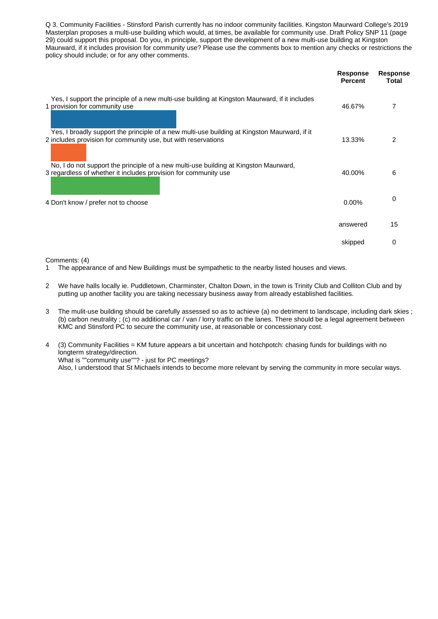Q 3. Community Facilities - Stinsford Parish currently has no indoor community facilities. Kingston Maurward College's 2019 Masterplan proposes a multi-use building which would, at times, be available for community use. Draft Policy SNP 11 (page 29) could support this proposal. Do you, in principle, support the development of a new multi-use building at Kingston Maurward, if it includes provision for community use? Please use the comments box to mention any checks or restrictions the policy should include; or for any other comments.

|                                                                                                                                                               | <b>Response</b><br><b>Percent</b> | <b>Response</b><br>Total |
|---------------------------------------------------------------------------------------------------------------------------------------------------------------|-----------------------------------|--------------------------|
| Yes, I support the principle of a new multi-use building at Kingston Maurward, if it includes<br>1 provision for community use                                | 46.67%                            |                          |
| Yes, I broadly support the principle of a new multi-use building at Kingston Maurward, if it<br>2 includes provision for community use, but with reservations | 13.33%                            | 2                        |
| No, I do not support the principle of a new multi-use building at Kingston Maurward,<br>3 regardless of whether it includes provision for community use       | 40.00%                            | 6                        |
| 4 Don't know / prefer not to choose                                                                                                                           | 0.00%                             | 0                        |
|                                                                                                                                                               | answered                          | 15                       |
|                                                                                                                                                               | skipped                           | 0                        |

Comments: (4)

- 1 The appearance of and New Buildings must be sympathetic to the nearby listed houses and views.
- 2 We have halls locally ie. Puddletown, Charminster, Chalton Down, in the town is Trinity Club and Colliton Club and by putting up another facility you are taking necessary business away from already established facilities.
- 3 The mulit-use building should be carefully assessed so as to achieve (a) no detriment to landscape, including dark skies ; (b) carbon neutrality ; (c) no additional car / van / lorry traffic on the lanes. There should be a legal agreement between KMC and Stinsford PC to secure the community use, at reasonable or concessionary cost.
- 4 (3) Community Facilities = KM future appears a bit uncertain and hotchpotch: chasing funds for buildings with no longterm strategy/direction. What is ""community use""? - just for PC meetings? Also, I understood that St Michaels intends to become more relevant by serving the community in more secular ways.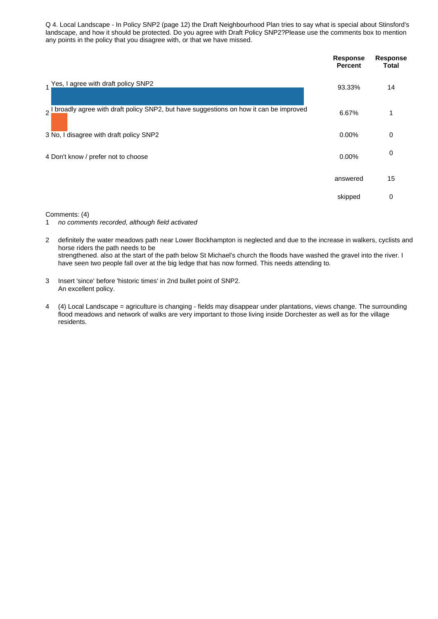Q 4. Local Landscape - In Policy SNP2 (page 12) the Draft Neighbourhood Plan tries to say what is special about Stinsford's landscape, and how it should be protected. Do you agree with Draft Policy SNP2?Please use the comments box to mention any points in the policy that you disagree with, or that we have missed.

|                                                                                          | <b>Response</b><br><b>Percent</b> | <b>Response</b><br><b>Total</b> |
|------------------------------------------------------------------------------------------|-----------------------------------|---------------------------------|
| 1 Yes, I agree with draft policy SNP2                                                    | 93.33%                            | 14                              |
| 2 I broadly agree with draft policy SNP2, but have suggestions on how it can be improved | 6.67%                             | 1                               |
| 3 No, I disagree with draft policy SNP2                                                  | 0.00%                             | 0                               |
| 4 Don't know / prefer not to choose                                                      | 0.00%                             | 0                               |
|                                                                                          | answered                          | 15                              |
|                                                                                          | skipped                           | 0                               |

Comments: (4)

- 1 *no comments recorded, although field activated*
- 2 definitely the water meadows path near Lower Bockhampton is neglected and due to the increase in walkers, cyclists and horse riders the path needs to be strengthened. also at the start of the path below St Michael's church the floods have washed the gravel into the river. I have seen two people fall over at the big ledge that has now formed. This needs attending to.
- 3 Insert 'since' before 'historic times' in 2nd bullet point of SNP2. An excellent policy.
- 4 (4) Local Landscape = agriculture is changing fields may disappear under plantations, views change. The surrounding flood meadows and network of walks are very important to those living inside Dorchester as well as for the village residents.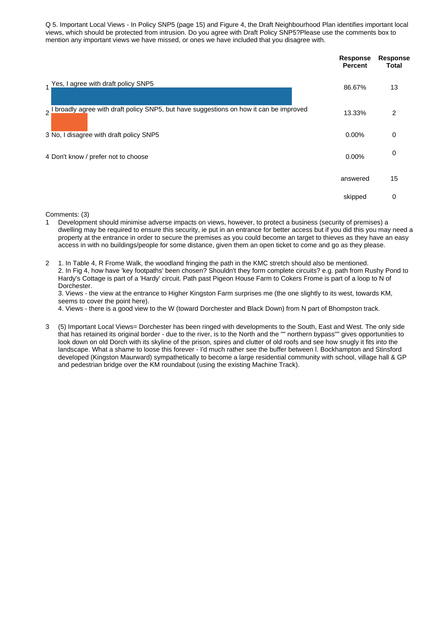Q 5. Important Local Views - In Policy SNP5 (page 15) and Figure 4, the Draft Neighbourhood Plan identifies important local views, which should be protected from intrusion. Do you agree with Draft Policy SNP5?Please use the comments box to mention any important views we have missed, or ones we have included that you disagree with.

|                                                                                          | <b>Response</b><br><b>Percent</b> | <b>Response</b><br>Total |
|------------------------------------------------------------------------------------------|-----------------------------------|--------------------------|
| 1 Yes, I agree with draft policy SNP5                                                    | 86.67%                            | 13                       |
| 2 I broadly agree with draft policy SNP5, but have suggestions on how it can be improved | 13.33%                            | 2                        |
| 3 No, I disagree with draft policy SNP5                                                  | 0.00%                             | 0                        |
| 4 Don't know / prefer not to choose                                                      | 0.00%                             | 0                        |
|                                                                                          | answered                          | 15                       |
|                                                                                          | skipped                           | 0                        |

Comments: (3)

- 1 Development should minimise adverse impacts on views, however, to protect a business (security of premises) a dwelling may be required to ensure this security, ie put in an entrance for better access but if you did this you may need a property at the entrance in order to secure the premises as you could become an target to thieves as they have an easy access in with no buildings/people for some distance, given them an open ticket to come and go as they please.
- 2 1. In Table 4, R Frome Walk, the woodland fringing the path in the KMC stretch should also be mentioned. 2. In Fig 4, how have 'key footpaths' been chosen? Shouldn't they form complete circuits? e.g. path from Rushy Pond to Hardy's Cottage is part of a 'Hardy' circuit. Path past Pigeon House Farm to Cokers Frome is part of a loop to N of Dorchester.

3. Views - the view at the entrance to Higher Kingston Farm surprises me (the one slightly to its west, towards KM, seems to cover the point here).

4. Views - there is a good view to the W (toward Dorchester and Black Down) from N part of Bhompston track.

3 (5) Important Local Views= Dorchester has been ringed with developments to the South, East and West. The only side that has retained its original border - due to the river, is to the North and the "" northern bypass"" gives opportunities to look down on old Dorch with its skyline of the prison, spires and clutter of old roofs and see how snugly it fits into the landscape. What a shame to loose this forever - I'd much rather see the buffer between l. Bockhampton and Stinsford developed (Kingston Maurward) sympathetically to become a large residential community with school, village hall & GP and pedestrian bridge over the KM roundabout (using the existing Machine Track).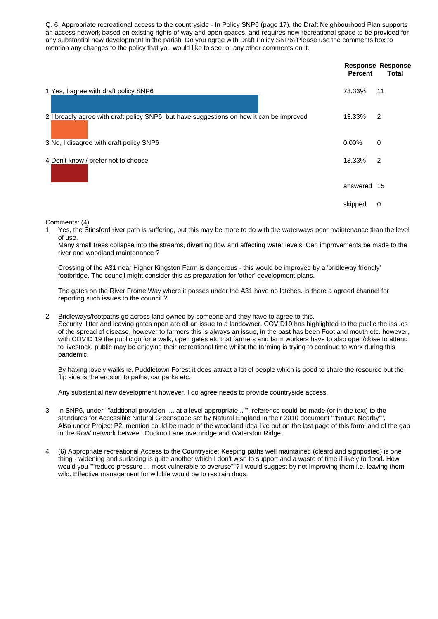Q. 6. Appropriate recreational access to the countryside - In Policy SNP6 (page 17), the Draft Neighbourhood Plan supports an access network based on existing rights of way and open spaces, and requires new recreational space to be provided for any substantial new development in the parish. Do you agree with Draft Policy SNP6?Please use the comments box to mention any changes to the policy that you would like to see; or any other comments on it.

|                                                                                          | Percent     | <b>Response Response</b><br><b>Total</b> |
|------------------------------------------------------------------------------------------|-------------|------------------------------------------|
| 1 Yes, I agree with draft policy SNP6                                                    | 73.33%      | 11                                       |
| 2 I broadly agree with draft policy SNP6, but have suggestions on how it can be improved | 13.33%      | 2                                        |
| 3 No, I disagree with draft policy SNP6                                                  | 0.00%       | 0                                        |
| 4 Don't know / prefer not to choose                                                      | 13.33%      | 2                                        |
|                                                                                          | answered 15 |                                          |
|                                                                                          | skipped     | 0                                        |

Comments: (4)

1 Yes, the Stinsford river path is suffering, but this may be more to do with the waterways poor maintenance than the level of use.

Many small trees collapse into the streams, diverting flow and affecting water levels. Can improvements be made to the river and woodland maintenance ?

Crossing of the A31 near Higher Kingston Farm is dangerous - this would be improved by a 'bridleway friendly' footbridge. The council might consider this as preparation for 'other' development plans.

The gates on the River Frome Way where it passes under the A31 have no latches. Is there a agreed channel for reporting such issues to the council ?

2 Bridleways/footpaths go across land owned by someone and they have to agree to this.

Security, litter and leaving gates open are all an issue to a landowner. COVID19 has highlighted to the public the issues of the spread of disease, however to farmers this is always an issue, in the past has been Foot and mouth etc. however, with COVID 19 the public go for a walk, open gates etc that farmers and farm workers have to also open/close to attend to livestock, public may be enjoying their recreational time whilst the farming is trying to continue to work during this pandemic.

By having lovely walks ie. Puddletown Forest it does attract a lot of people which is good to share the resource but the flip side is the erosion to paths, car parks etc.

Any substantial new development however, I do agree needs to provide countryside access.

- 3 In SNP6, under ""addtional provision .... at a level appropriate..."", reference could be made (or in the text) to the standards for Accessible Natural Greenspace set by Natural England in their 2010 document ""Nature Nearby"". Also under Project P2, mention could be made of the woodland idea I've put on the last page of this form; and of the gap in the RoW network between Cuckoo Lane overbridge and Waterston Ridge.
- 4 (6) Appropriate recreational Access to the Countryside: Keeping paths well maintained (cleard and signposted) is one thing - widening and surfacing is quite another which I don't wish to support and a waste of time if likely to flood. How would you ""reduce pressure ... most vulnerable to overuse""? I would suggest by not improving them i.e. leaving them wild. Effective management for wildlife would be to restrain dogs.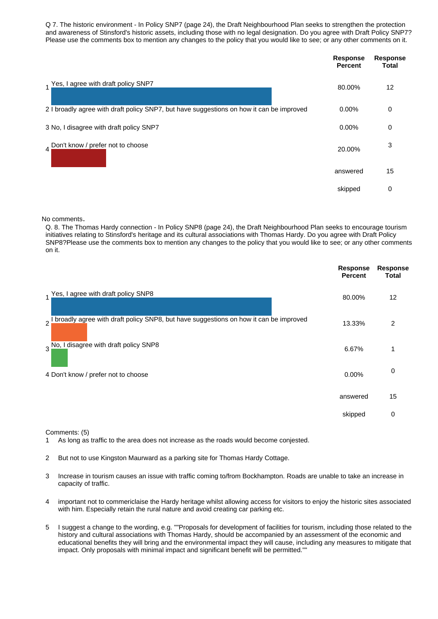Q 7. The historic environment - In Policy SNP7 (page 24), the Draft Neighbourhood Plan seeks to strengthen the protection and awareness of Stinsford's historic assets, including those with no legal designation. Do you agree with Draft Policy SNP7? Please use the comments box to mention any changes to the policy that you would like to see; or any other comments on it.

|                                                                                          | <b>Response</b><br><b>Percent</b> | Response<br><b>Total</b> |
|------------------------------------------------------------------------------------------|-----------------------------------|--------------------------|
| 1 Yes, I agree with draft policy SNP7                                                    | 80.00%                            | 12                       |
| 2 I broadly agree with draft policy SNP7, but have suggestions on how it can be improved | 0.00%                             | 0                        |
| 3 No, I disagree with draft policy SNP7                                                  | 0.00%                             | 0                        |
| 4 Don't know / prefer not to choose                                                      | 20.00%                            | 3                        |
|                                                                                          | answered                          | 15                       |
|                                                                                          | skipped                           | 0                        |

No comments.

Q. 8. The Thomas Hardy connection - In Policy SNP8 (page 24), the Draft Neighbourhood Plan seeks to encourage tourism initiatives relating to Stinsford's heritage and its cultural associations with Thomas Hardy. Do you agree with Draft Policy SNP8?Please use the comments box to mention any changes to the policy that you would like to see; or any other comments on it.

|                                                                                          | <b>Response</b><br><b>Percent</b> | <b>Response</b><br><b>Total</b> |
|------------------------------------------------------------------------------------------|-----------------------------------|---------------------------------|
| Yes, I agree with draft policy SNP8<br>$\overline{1}$                                    | 80.00%                            | 12                              |
| 2 I broadly agree with draft policy SNP8, but have suggestions on how it can be improved | 13.33%                            | 2                               |
| disagree with draft policy SNP8<br>$3\frac{No, I}{.}$                                    | 6.67%                             | $\mathbf{1}$                    |
| 4 Don't know / prefer not to choose                                                      | 0.00%                             | 0                               |
|                                                                                          | answered                          | 15                              |
|                                                                                          | skipped                           | 0                               |

Comments: (5)

1 As long as traffic to the area does not increase as the roads would become conjested.

2 But not to use Kingston Maurward as a parking site for Thomas Hardy Cottage.

- 3 Increase in tourism causes an issue with traffic coming to/from Bockhampton. Roads are unable to take an increase in capacity of traffic.
- 4 important not to commericlaise the Hardy heritage whilst allowing access for visitors to enjoy the historic sites associated with him. Especially retain the rural nature and avoid creating car parking etc.
- 5 I suggest a change to the wording, e.g. ""Proposals for development of facilities for tourism, including those related to the history and cultural associations with Thomas Hardy, should be accompanied by an assessment of the economic and educational benefits they will bring and the environmental impact they will cause, including any measures to mitigate that impact. Only proposals with minimal impact and significant benefit will be permitted.""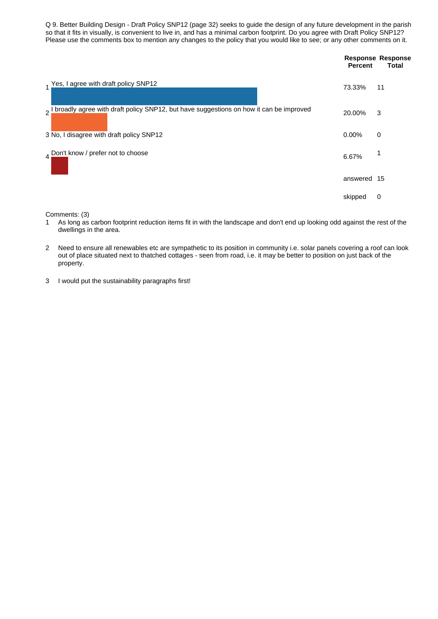Q 9. Better Building Design - Draft Policy SNP12 (page 32) seeks to guide the design of any future development in the parish so that it fits in visually, is convenient to live in, and has a minimal carbon footprint. Do you agree with Draft Policy SNP12? Please use the comments box to mention any changes to the policy that you would like to see; or any other comments on it.

|                                                                                       | <b>Percent</b> | <b>Response Response</b><br>Total |
|---------------------------------------------------------------------------------------|----------------|-----------------------------------|
| 1 Yes, I agree with draft policy SNP12                                                | 73.33%         | 11                                |
| broadly agree with draft policy SNP12, but have suggestions on how it can be improved | 20.00%         | 3                                 |
| 3 No, I disagree with draft policy SNP12                                              | 0.00%          | 0                                 |
| 4 Don't know / prefer not to choose                                                   | 6.67%          | 1                                 |
|                                                                                       | answered 15    |                                   |
|                                                                                       | skipped        | 0                                 |
|                                                                                       |                |                                   |

Comments: (3)

- 1 As long as carbon footprint reduction items fit in with the landscape and don't end up looking odd against the rest of the dwellings in the area.
- 2 Need to ensure all renewables etc are sympathetic to its position in community i.e. solar panels covering a roof can look out of place situated next to thatched cottages - seen from road, i.e. it may be better to position on just back of the property.
- 3 I would put the sustainability paragraphs first!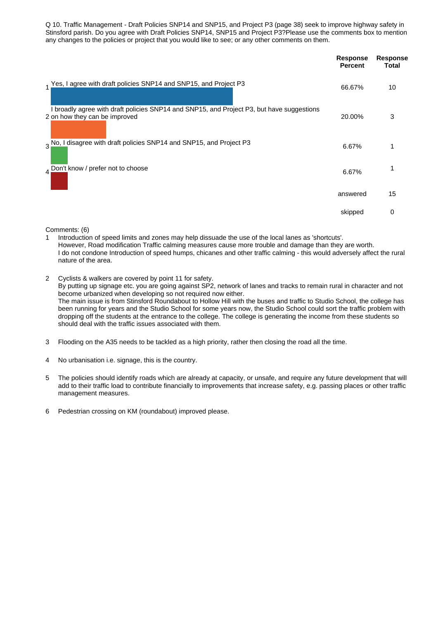Q 10. Traffic Management - Draft Policies SNP14 and SNP15, and Project P3 (page 38) seek to improve highway safety in Stinsford parish. Do you agree with Draft Policies SNP14, SNP15 and Project P3?Please use the comments box to mention any changes to the policies or project that you would like to see; or any other comments on them.

|                                                                                                                            | Response<br><b>Percent</b> | Response<br>Total |
|----------------------------------------------------------------------------------------------------------------------------|----------------------------|-------------------|
| 1 Yes, I agree with draft policies SNP14 and SNP15, and Project P3                                                         | 66.67%                     | 10                |
| I broadly agree with draft policies SNP14 and SNP15, and Project P3, but have suggestions<br>2 on how they can be improved | 20.00%                     | 3                 |
| 3 No, I disagree with draft policies SNP14 and SNP15, and Project P3                                                       | 6.67%                      | 1                 |
| 4 Don't know / prefer not to choose                                                                                        | 6.67%                      | 1                 |
|                                                                                                                            | answered                   | 15                |
|                                                                                                                            | skipped                    | 0                 |

Comments: (6)

1 Introduction of speed limits and zones may help dissuade the use of the local lanes as 'shortcuts'. However, Road modification Traffic calming measures cause more trouble and damage than they are worth. I do not condone Introduction of speed humps, chicanes and other traffic calming - this would adversely affect the rural nature of the area.

- 2 Cyclists & walkers are covered by point 11 for safety. By putting up signage etc. you are going against SP2, network of lanes and tracks to remain rural in character and not become urbanized when developing so not required now either. The main issue is from Stinsford Roundabout to Hollow Hill with the buses and traffic to Studio School, the college has been running for years and the Studio School for some years now, the Studio School could sort the traffic problem with dropping off the students at the entrance to the college. The college is generating the income from these students so should deal with the traffic issues associated with them.
- 3 Flooding on the A35 needs to be tackled as a high priority, rather then closing the road all the time.
- 4 No urbanisation i.e. signage, this is the country.
- 5 The policies should identify roads which are already at capacity, or unsafe, and require any future development that will add to their traffic load to contribute financially to improvements that increase safety, e.g. passing places or other traffic management measures.
- 6 Pedestrian crossing on KM (roundabout) improved please.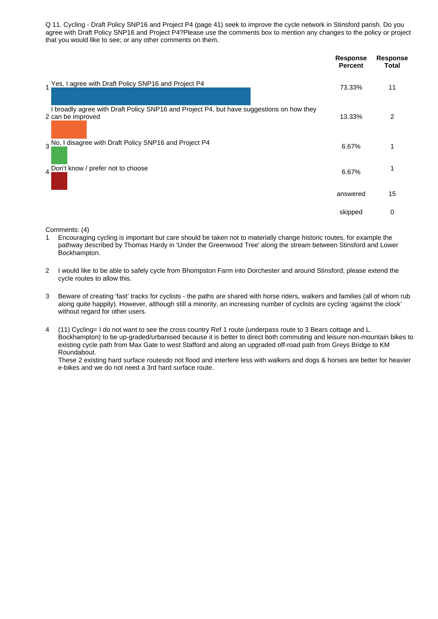Q 11. Cycling - Draft Policy SNP16 and Project P4 (page 41) seek to improve the cycle network in Stinsford parish. Do you agree with Draft Policy SNP16 and Project P4?Please use the comments box to mention any changes to the policy or project that you would like to see; or any other comments on them.

| 1 Yes, I agree with Draft Policy SNP16 and Project P4<br>11<br>73.33%<br>I broadly agree with Draft Policy SNP16 and Project P4, but have suggestions on how they<br>2<br>2 can be improved<br>13.33%<br>3 No, I disagree with Draft Policy SNP16 and Project P4<br>6.67%<br>1<br>4 Don't know / prefer not to choose<br>6.67%<br>15<br>answered<br>0<br>skipped | <b>Response</b><br><b>Percent</b> | Response<br><b>Total</b> |
|------------------------------------------------------------------------------------------------------------------------------------------------------------------------------------------------------------------------------------------------------------------------------------------------------------------------------------------------------------------|-----------------------------------|--------------------------|
|                                                                                                                                                                                                                                                                                                                                                                  |                                   |                          |
|                                                                                                                                                                                                                                                                                                                                                                  |                                   |                          |
|                                                                                                                                                                                                                                                                                                                                                                  |                                   |                          |
|                                                                                                                                                                                                                                                                                                                                                                  |                                   |                          |
|                                                                                                                                                                                                                                                                                                                                                                  |                                   |                          |
|                                                                                                                                                                                                                                                                                                                                                                  |                                   |                          |

Comments: (4)

- 1 Encouraging cycling is important but care should be taken not to materially change historic routes, for example the pathway described by Thomas Hardy in 'Under the Greenwood Tree' along the stream between Stinsford and Lower Bockhampton.
- 2 I would like to be able to safely cycle from Bhompston Farm into Dorchester and around Stinsford; please extend the cycle routes to allow this.
- 3 Beware of creating 'fast' tracks for cyclists the paths are shared with horse riders, walkers and families (all of whom rub along quite happily). However, although still a minority, an increasing number of cyclists are cycling 'against the clock' without regard for other users.
- 4 (11) Cycling= I do not want to see the cross country Ref 1 route (underpass route to 3 Bears cottage and L. Bockhampton) to be up-graded/urbanised because it is better to direct both commuting and leisure non-mountain bikes to existing cycle path from Max Gate to west Stafford and along an upgraded off-road path from Greys Bridge to KM Roundabout.

These 2 existing hard surface routesdo not flood and interfere less with walkers and dogs & horses are better for heavier e-bikes and we do not need a 3rd hard surface route.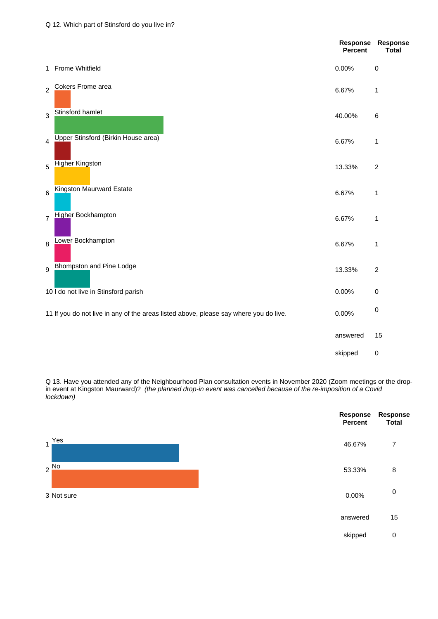|                |                                                                                       | <b>Response</b><br>Percent | Response<br><b>Total</b> |
|----------------|---------------------------------------------------------------------------------------|----------------------------|--------------------------|
|                | 1 Frome Whitfield                                                                     | 0.00%                      | 0                        |
| $\overline{2}$ | Cokers Frome area                                                                     | 6.67%                      | $\mathbf 1$              |
| 3              | Stinsford hamlet                                                                      | 40.00%                     | 6                        |
| 4              | <b>Upper Stinsford (Birkin House area)</b>                                            | 6.67%                      | 1                        |
| 5              | Higher Kingston                                                                       | 13.33%                     | $\sqrt{2}$               |
| 6              | Kingston Maurward Estate                                                              | 6.67%                      | $\mathbf 1$              |
| $\overline{7}$ | <b>Higher Bockhampton</b>                                                             | 6.67%                      | 1                        |
| 8              | Lower Bockhampton                                                                     | 6.67%                      | $\mathbf 1$              |
| 9              | Bhompston and Pine Lodge                                                              | 13.33%                     | $\overline{c}$           |
|                | 10 I do not live in Stinsford parish                                                  | 0.00%                      | 0                        |
|                | 11 If you do not live in any of the areas listed above, please say where you do live. | 0.00%                      | 0                        |
|                |                                                                                       | answered                   | 15                       |
|                |                                                                                       | skipped                    | $\pmb{0}$                |

Q 13. Have you attended any of the Neighbourhood Plan consultation events in November 2020 (Zoom meetings or the dropin event at Kingston Maurward)? *(the planned drop-in event was cancelled because of the re-imposition of a Covid lockdown)*

|                       | Response<br><b>Percent</b> | Response<br><b>Total</b> |
|-----------------------|----------------------------|--------------------------|
| Yes<br>$\overline{1}$ | 46.67%                     | 7                        |
| $2 \frac{No}{2}$      | 53.33%                     | 8                        |
| 3 Not sure            | 0.00%                      | $\mathbf 0$              |
|                       | answered                   | 15                       |
|                       | skipped                    | $\pmb{0}$                |